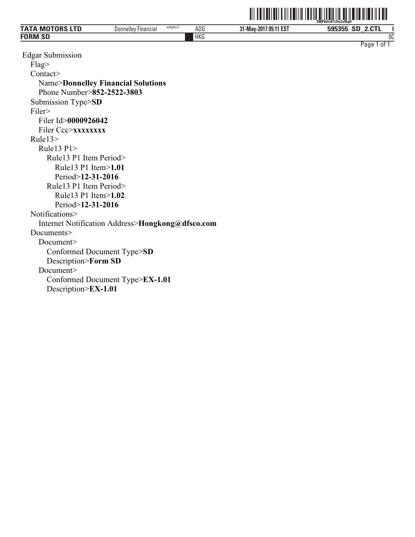|                             |                                                 |            |                            | ZUUFSVI=N%VäZUNUN               |
|-----------------------------|-------------------------------------------------|------------|----------------------------|---------------------------------|
| <b>TATA MOTORS ITD</b><br>M | adgdoc1<br><b>Financial</b><br><b>Donnelley</b> | ADG        | 7 05:11 EST<br>31-May-2017 | <b>CONT</b><br>$\sim$<br>595355 |
| <b>FORM SD</b>              |                                                 | <b>HKG</b> |                            | OC                              |
|                             |                                                 |            |                            | Page<br>0t                      |

ˆ200F\$vf=K%VaZuNqHŠ **200F\$vf=K%VaZuNqH** 

Edgar Submission Flag> Contact> Name>**Donnelley Financial Solutions** Phone Number>**852-2522-3803** Submission Type>**SD** Filer> Filer Id>**0000926042** Filer Ccc>**xxxxxxx** Rule13> Rule13 P1> Rule13 P1 Item Period> Rule13 P1 Item>**1.01** Period>**12-31-2016** Rule13 P1 Item Period> Rule13 P1 Item>**1.02** Period>**12-31-2016** Notifications> Internet Notification Address>**Hongkong@dfsco.com** Documents> Document> Conformed Document Type>**SD** Description>**Form SD** Document> Conformed Document Type>**EX-1.01** Description>**EX-1.01**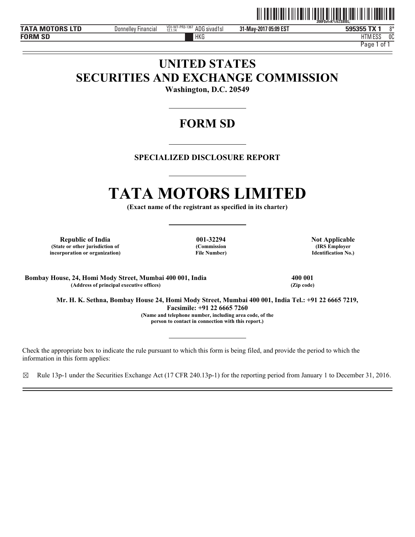

**TATA MOTORS LTD 12.1.14 595355 DEX 12.1.14 595355 DEX 12.1.14 12.1.14 595355 DEX 12.1.14 13.1.14 595355 DEX 12.1.14 13.1.14 595355 DEX 12.1.14 13.1.14 13.1.14 13.1.14 13.1.14 13.1.14 14.15 FORM SD**

**31-May-2017 05:09 EST**

HKG HTM HTM ESS 0C

Page 1 of 1

# **UNITED STATES SECURITIES AND EXCHANGE COMMISSION**

**Washington, D.C. 20549** 

# **FORM SD**

# **SPECIALIZED DISCLOSURE REPORT**

# **TATA MOTORS LIMITED**

**(Exact name of the registrant as specified in its charter)** 

Republic of India **Note 201-22294** Not Applicable **(State or other jurisdiction of incorporation or organization)**

**(Commission File Number)**

**(IRS Employer Identification No.)**

**Bombay House, 24, Homi Mody Street, Mumbai 400 001, India 400 001** (Address of principal executive offices)

**Mr. H. K. Sethna, Bombay House 24, Homi Mody Street, Mumbai 400 001, India Tel.: +91 22 6665 7219, Facsimile: +91 22 6665 7260 (Name and telephone number, including area code, of the person to contact in connection with this report.)** 

Check the appropriate box to indicate the rule pursuant to which this form is being filed, and provide the period to which the information in this form applies:

☒ Rule 13p-1 under the Securities Exchange Act (17 CFR 240.13p-1) for the reporting period from January 1 to December 31, 2016.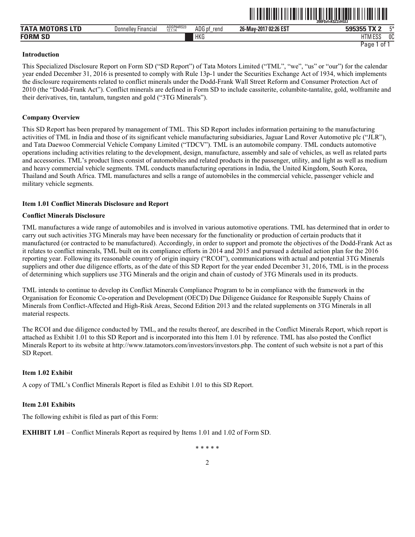|                          |                     |                       |                |                             | 200FSvf=KSZ2zHGLI            |              |
|--------------------------|---------------------|-----------------------|----------------|-----------------------------|------------------------------|--------------|
| <b>MO</b><br><b>TATA</b> | Donnelley Financial | ADGP64RS23<br>12.1.14 | ADG pf<br>rend | 17 02:26 EST<br>26-May-2017 | T1<br>rararr'<br>кh<br>ວວວວວ | <b>FX</b>    |
| <b>FORM SF</b><br>. JL   |                     |                       | <b>HKG</b>     |                             | 1.500<br>י דו<br>HIM ESJ     | $\sim$<br>υu |

ˆ200F\$vf=K\$Z2zHGLIŠ **200F\$vf=K\$Z2zHGLI** 

Page 1 of 1

#### **Introduction**

This Specialized Disclosure Report on Form SD ("SD Report") of Tata Motors Limited ("TML", "we", "us" or "our") for the calendar year ended December 31, 2016 is presented to comply with Rule 13p-1 under the Securities Exchange Act of 1934, which implements the disclosure requirements related to conflict minerals under the Dodd-Frank Wall Street Reform and Consumer Protection Act of 2010 (the "Dodd-Frank Act"). Conflict minerals are defined in Form SD to include cassiterite, columbite-tantalite, gold, wolframite and their derivatives, tin, tantalum, tungsten and gold ("3TG Minerals").

# **Company Overview**

This SD Report has been prepared by management of TML. This SD Report includes information pertaining to the manufacturing activities of TML in India and those of its significant vehicle manufacturing subsidiaries, Jaguar Land Rover Automotive plc ("JLR"), and Tata Daewoo Commercial Vehicle Company Limited ("TDCV"). TML is an automobile company. TML conducts automotive operations including activities relating to the development, design, manufacture, assembly and sale of vehicles, as well as related parts and accessories. TML's product lines consist of automobiles and related products in the passenger, utility, and light as well as medium and heavy commercial vehicle segments. TML conducts manufacturing operations in India, the United Kingdom, South Korea, Thailand and South Africa. TML manufactures and sells a range of automobiles in the commercial vehicle, passenger vehicle and military vehicle segments.

# **Item 1.01 Conflict Minerals Disclosure and Report**

# **Conflict Minerals Disclosure**

TML manufactures a wide range of automobiles and is involved in various automotive operations. TML has determined that in order to carry out such activities 3TG Minerals may have been necessary for the functionality or production of certain products that it manufactured (or contracted to be manufactured). Accordingly, in order to support and promote the objectives of the Dodd-Frank Act as it relates to conflict minerals, TML built on its compliance efforts in 2014 and 2015 and pursued a detailed action plan for the 2016 reporting year. Following its reasonable country of origin inquiry ("RCOI"), communications with actual and potential 3TG Minerals suppliers and other due diligence efforts, as of the date of this SD Report for the year ended December 31, 2016, TML is in the process of determining which suppliers use 3TG Minerals and the origin and chain of custody of 3TG Minerals used in its products.

TML intends to continue to develop its Conflict Minerals Compliance Program to be in compliance with the framework in the Organisation for Economic Co-operation and Development (OECD) Due Diligence Guidance for Responsible Supply Chains of Minerals from Conflict-Affected and High-Risk Areas, Second Edition 2013 and the related supplements on 3TG Minerals in all material respects.

The RCOI and due diligence conducted by TML, and the results thereof, are described in the Conflict Minerals Report, which report is attached as Exhibit 1.01 to this SD Report and is incorporated into this Item 1.01 by reference. TML has also posted the Conflict Minerals Report to its website at http://www.tatamotors.com/investors/investors.php. The content of such website is not a part of this SD Report.

# **Item 1.02 Exhibit**

A copy of TML's Conflict Minerals Report is filed as Exhibit 1.01 to this SD Report.

#### **Item 2.01 Exhibits**

The following exhibit is filed as part of this Form:

**EXHIBIT 1.01** – Conflict Minerals Report as required by Items 1.01 and 1.02 of Form SD.

\* \* \* \* \*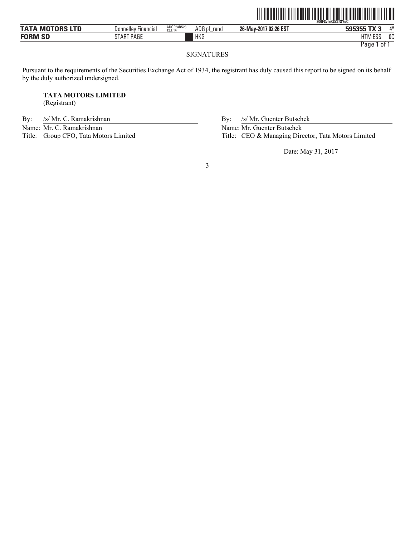|                 |                            |                       |                |                       | <br>200FSvf=KSZ2TSYsC |
|-----------------|----------------------------|-----------------------|----------------|-----------------------|-----------------------|
| TATA MOTORS LTD | <b>Donnelley Financial</b> | ADGP64RS23<br>12.1.14 | ADG pf<br>rend | 26-May-2017 02:26 EST | 4*<br>595355 TX 3     |
| <b>FORM SD</b>  | START PAGE                 |                       | HKG            |                       | 0C<br><b>HTM ESS</b>  |
|                 |                            |                       |                |                       | Page 1 of             |

# SIGNATURES

Pursuant to the requirements of the Securities Exchange Act of 1934, the registrant has duly caused this report to be signed on its behalf by the duly authorized undersigned.

# **TATA MOTORS LIMITED**

(Registrant)

By: /s/ Mr. C. Ramakrishnan By: /s/ Mr. Guenter Butschek

Name: Mr. C. Ramakrishnan Name: Mr. Guenter Butschek<br>Title: Group CFO, Tata Motors Limited Title: CEO & Managing Dire

Title: CEO & Managing Director, Tata Motors Limited

Date: May 31, 2017

3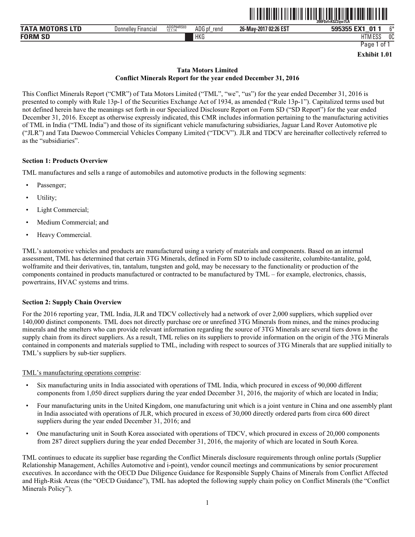

| <b>TATA MOTORS LTD</b> | Financia.<br>Donnelle <sup>®</sup> | ADGP64RS03<br>12.1.14 | ADG<br>rend<br>nt | 7 02:26 EST<br>26-May-2017 | $-1/4$<br><b>04</b><br><b>БОБЗББ</b><br>_ | $\sim$ |
|------------------------|------------------------------------|-----------------------|-------------------|----------------------------|-------------------------------------------|--------|
| <b>FORM SD</b><br>SL   |                                    |                       | <b>HKG</b>        |                            | $-1$<br>$F^{\alpha}$<br>HIM ESS           | 0C     |

**Exhibit 1.01** 

# **Tata Motors Limited Conflict Minerals Report for the year ended December 31, 2016**

This Conflict Minerals Report ("CMR") of Tata Motors Limited ("TML", "we", "us") for the year ended December 31, 2016 is presented to comply with Rule 13p-1 of the Securities Exchange Act of 1934, as amended ("Rule 13p-1"). Capitalized terms used but not defined herein have the meanings set forth in our Specialized Disclosure Report on Form SD ("SD Report") for the year ended December 31, 2016. Except as otherwise expressly indicated, this CMR includes information pertaining to the manufacturing activities of TML in India ("TML India") and those of its significant vehicle manufacturing subsidiaries, Jaguar Land Rover Automotive plc ("JLR") and Tata Daewoo Commercial Vehicles Company Limited ("TDCV"). JLR and TDCV are hereinafter collectively referred to as the "subsidiaries".

# **Section 1: Products Overview**

TML manufactures and sells a range of automobiles and automotive products in the following segments:

- Passenger;
- Utility;
- Light Commercial;
- Medium Commercial; and
- Heavy Commercial.

TML's automotive vehicles and products are manufactured using a variety of materials and components. Based on an internal assessment, TML has determined that certain 3TG Minerals, defined in Form SD to include cassiterite, columbite-tantalite, gold, wolframite and their derivatives, tin, tantalum, tungsten and gold, may be necessary to the functionality or production of the components contained in products manufactured or contracted to be manufactured by TML – for example, electronics, chassis, powertrains, HVAC systems and trims.

# **Section 2: Supply Chain Overview**

For the 2016 reporting year, TML India, JLR and TDCV collectively had a network of over 2,000 suppliers, which supplied over 140,000 distinct components. TML does not directly purchase ore or unrefined 3TG Minerals from mines, and the mines producing minerals and the smelters who can provide relevant information regarding the source of 3TG Minerals are several tiers down in the supply chain from its direct suppliers. As a result, TML relies on its suppliers to provide information on the origin of the 3TG Minerals contained in components and materials supplied to TML, including with respect to sources of 3TG Minerals that are supplied initially to TML's suppliers by sub-tier suppliers.

# TML's manufacturing operations comprise:

- Six manufacturing units in India associated with operations of TML India, which procured in excess of 90,000 different components from 1,050 direct suppliers during the year ended December 31, 2016, the majority of which are located in India;
- Four manufacturing units in the United Kingdom, one manufacturing unit which is a joint venture in China and one assembly plant in India associated with operations of JLR, which procured in excess of 30,000 directly ordered parts from circa 600 direct suppliers during the year ended December 31, 2016; and
- One manufacturing unit in South Korea associated with operations of TDCV, which procured in excess of 20,000 components from 287 direct suppliers during the year ended December 31, 2016, the majority of which are located in South Korea.

TML continues to educate its supplier base regarding the Conflict Minerals disclosure requirements through online portals (Supplier Relationship Management, Achilles Automotive and i-point), vendor council meetings and communications by senior procurement executives. In accordance with the OECD Due Diligence Guidance for Responsible Supply Chains of Minerals from Conflict Affected and High-Risk Areas (the "OECD Guidance"), TML has adopted the following supply chain policy on Conflict Minerals (the "Conflict Minerals Policy").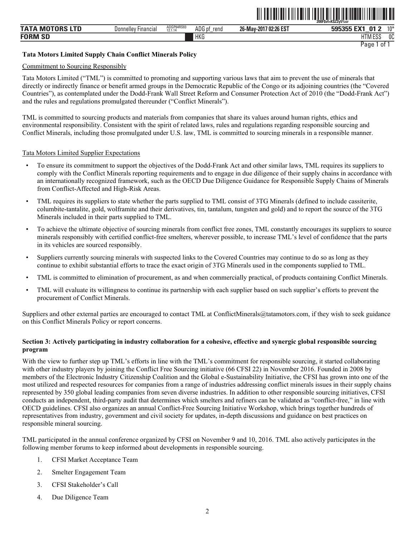| TATA<br><b>M</b><br>--- | Donnelley Financial | ADGP64RS03<br>12.1.14 | ADG pf<br>rend<br>_ | / 02:26 EST<br>26-May-2017 | <b>01</b><br>. .                    | $10*$        |
|-------------------------|---------------------|-----------------------|---------------------|----------------------------|-------------------------------------|--------------|
| <b>FORM SF</b>          |                     |                       | <b>HKG</b>          |                            | <b>14 FOO</b><br>HТ<br>ועו ר<br>LUL | $\sim$<br>งเ |

ˆ200F\$vf=K\$Z2y5%srŠ **200F\$vf=K\$Z2y5%sr**

Page 1 of 1

# **Tata Motors Limited Supply Chain Conflict Minerals Policy**

#### Commitment to Sourcing Responsibly

Tata Motors Limited ("TML") is committed to promoting and supporting various laws that aim to prevent the use of minerals that directly or indirectly finance or benefit armed groups in the Democratic Republic of the Congo or its adjoining countries (the "Covered Countries"), as contemplated under the Dodd-Frank Wall Street Reform and Consumer Protection Act of 2010 (the "Dodd-Frank Act") and the rules and regulations promulgated thereunder ("Conflict Minerals").

TML is committed to sourcing products and materials from companies that share its values around human rights, ethics and environmental responsibility. Consistent with the spirit of related laws, rules and regulations regarding responsible sourcing and Conflict Minerals, including those promulgated under U.S. law, TML is committed to sourcing minerals in a responsible manner.

# Tata Motors Limited Supplier Expectations

- To ensure its commitment to support the objectives of the Dodd-Frank Act and other similar laws, TML requires its suppliers to comply with the Conflict Minerals reporting requirements and to engage in due diligence of their supply chains in accordance with an internationally recognized framework, such as the OECD Due Diligence Guidance for Responsible Supply Chains of Minerals from Conflict-Affected and High-Risk Areas.
- TML requires its suppliers to state whether the parts supplied to TML consist of 3TG Minerals (defined to include cassiterite, columbite-tantalite, gold, wolframite and their derivatives, tin, tantalum, tungsten and gold) and to report the source of the 3TG Minerals included in their parts supplied to TML.
- To achieve the ultimate objective of sourcing minerals from conflict free zones, TML constantly encourages its suppliers to source minerals responsibly with certified conflict-free smelters, wherever possible, to increase TML's level of confidence that the parts in its vehicles are sourced responsibly.
- Suppliers currently sourcing minerals with suspected links to the Covered Countries may continue to do so as long as they continue to exhibit substantial efforts to trace the exact origin of 3TG Minerals used in the components supplied to TML.
- TML is committed to elimination of procurement, as and when commercially practical, of products containing Conflict Minerals.
- TML will evaluate its willingness to continue its partnership with each supplier based on such supplier's efforts to prevent the procurement of Conflict Minerals.

Suppliers and other external parties are encouraged to contact TML at ConflictMinerals@tatamotors.com, if they wish to seek guidance on this Conflict Minerals Policy or report concerns.

# **Section 3: Actively participating in industry collaboration for a cohesive, effective and synergic global responsible sourcing program**

With the view to further step up TML's efforts in line with the TML's commitment for responsible sourcing, it started collaborating with other industry players by joining the Conflict Free Sourcing initiative (66 CFSI 22) in November 2016. Founded in 2008 by members of the Electronic Industry Citizenship Coalition and the Global e-Sustainability Initiative, the CFSI has grown into one of the most utilized and respected resources for companies from a range of industries addressing conflict minerals issues in their supply chains represented by 350 global leading companies from seven diverse industries. In addition to other responsible sourcing initiatives, CFSI conducts an independent, third-party audit that determines which smelters and refiners can be validated as "conflict-free," in line with OECD guidelines. CFSI also organizes an annual Conflict-Free Sourcing Initiative Workshop, which brings together hundreds of representatives from industry, government and civil society for updates, in-depth discussions and guidance on best practices on responsible mineral sourcing.

TML participated in the annual conference organized by CFSI on November 9 and 10, 2016. TML also actively participates in the following member forums to keep informed about developments in responsible sourcing.

- 1. CFSI Market Acceptance Team
- 2. Smelter Engagement Team
- 3. CFSI Stakeholder's Call
- 4. Due Diligence Team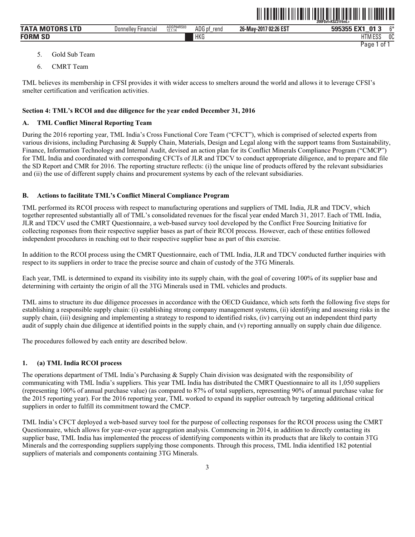| <b>TATA MOTORS LTD</b> | $- \cdot$<br>Donnelley Financial | ADGP64RS03<br>12.1.14 | ADG pf<br>rend | 26-May-2017 02:26 EST | $^{\sim}$<br>595355 EX1<br>. n.<br>v.<br>- 1 |
|------------------------|----------------------------------|-----------------------|----------------|-----------------------|----------------------------------------------|
| <b>FORM SD</b>         |                                  |                       | HKG            |                       | <b>I ITA A FOO</b><br>0C<br>HIMESS           |
|                        |                                  |                       |                |                       | Paqe<br>01                                   |

ˆ200F\$vf=K\$Z2@bnL>Š **200F\$vf=K\$Z2@bnL>**

- 5. Gold Sub Team
- 6. CMRT Team

TML believes its membership in CFSI provides it with wider access to smelters around the world and allows it to leverage CFSI's smelter certification and verification activities.

#### **Section 4: TML's RCOI and due diligence for the year ended December 31, 2016**

#### **A. TML Conflict Mineral Reporting Team**

During the 2016 reporting year, TML India's Cross Functional Core Team ("CFCT"), which is comprised of selected experts from various divisions, including Purchasing & Supply Chain, Materials, Design and Legal along with the support teams from Sustainability, Finance, Information Technology and Internal Audit, devised an action plan for its Conflict Minerals Compliance Program ("CMCP") for TML India and coordinated with corresponding CFCTs of JLR and TDCV to conduct appropriate diligence, and to prepare and file the SD Report and CMR for 2016. The reporting structure reflects: (i) the unique line of products offered by the relevant subsidiaries and (ii) the use of different supply chains and procurement systems by each of the relevant subsidiaries.

# **B. Actions to facilitate TML's Conflict Mineral Compliance Program**

TML performed its RCOI process with respect to manufacturing operations and suppliers of TML India, JLR and TDCV, which together represented substantially all of TML's consolidated revenues for the fiscal year ended March 31, 2017. Each of TML India, JLR and TDCV used the CMRT Questionnaire, a web-based survey tool developed by the Conflict Free Sourcing Initiative for collecting responses from their respective supplier bases as part of their RCOI process. However, each of these entities followed independent procedures in reaching out to their respective supplier base as part of this exercise.

In addition to the RCOI process using the CMRT Questionnaire, each of TML India, JLR and TDCV conducted further inquiries with respect to its suppliers in order to trace the precise source and chain of custody of the 3TG Minerals.

Each year, TML is determined to expand its visibility into its supply chain, with the goal of covering 100% of its supplier base and determining with certainty the origin of all the 3TG Minerals used in TML vehicles and products.

TML aims to structure its due diligence processes in accordance with the OECD Guidance, which sets forth the following five steps for establishing a responsible supply chain: (i) establishing strong company management systems, (ii) identifying and assessing risks in the supply chain, (iii) designing and implementing a strategy to respond to identified risks, (iv) carrying out an independent third party audit of supply chain due diligence at identified points in the supply chain, and (v) reporting annually on supply chain due diligence.

The procedures followed by each entity are described below.

# **1. (a) TML India RCOI process**

The operations department of TML India's Purchasing & Supply Chain division was designated with the responsibility of communicating with TML India's suppliers. This year TML India has distributed the CMRT Questionnaire to all its 1,050 suppliers (representing 100% of annual purchase value) (as compared to 87% of total suppliers, representing 90% of annual purchase value for the 2015 reporting year). For the 2016 reporting year, TML worked to expand its supplier outreach by targeting additional critical suppliers in order to fulfill its commitment toward the CMCP.

TML India's CFCT deployed a web-based survey tool for the purpose of collecting responses for the RCOI process using the CMRT Questionnaire, which allows for year-over-year aggregation analysis. Commencing in 2014, in addition to directly contacting its supplier base, TML India has implemented the process of identifying components within its products that are likely to contain 3TG Minerals and the corresponding suppliers supplying those components. Through this process, TML India identified 182 potential suppliers of materials and components containing 3TG Minerals.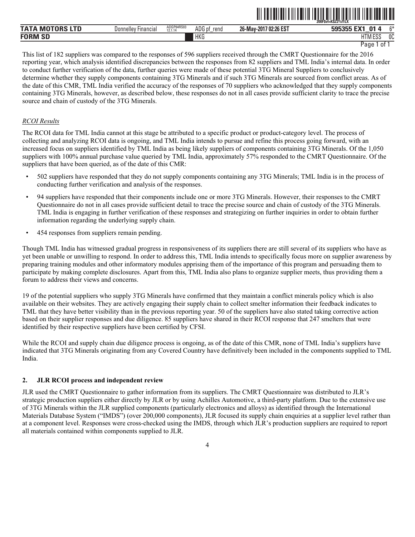|                           |                               |                       |                |                            | 200FSvf=KŠZ2%f1LX                |                |
|---------------------------|-------------------------------|-----------------------|----------------|----------------------------|----------------------------------|----------------|
| <b>TATA</b><br>MOTORS LTD | Financial<br><b>Donnelley</b> | ADGP64RS03<br>12.1.14 | ADG pi<br>rend | / 02:26 EST<br>26-May-2017 | <b>04</b><br><b>GOG266</b>       | $^{\sim}$      |
| <b>FORM SD</b>            |                               |                       | HKG            |                            | <b>LITM FOO</b><br>1 I IV<br>∟ບປ | <sub>0</sub> C |

ˆ200F\$vf=K\$Z2%f1LXŠ **200F\$vf=K\$Z2%f1LX**

This list of 182 suppliers was compared to the responses of 596 suppliers received through the CMRT Questionnaire for the 2016 reporting year, which analysis identified discrepancies between the responses from 82 suppliers and TML India's internal data. In order to conduct further verification of the data, further queries were made of these potential 3TG Mineral Suppliers to conclusively determine whether they supply components containing 3TG Minerals and if such 3TG Minerals are sourced from conflict areas. As of the date of this CMR, TML India verified the accuracy of the responses of 70 suppliers who acknowledged that they supply components containing 3TG Minerals, however, as described below, these responses do not in all cases provide sufficient clarity to trace the precise source and chain of custody of the 3TG Minerals.

# *RCOI Results*

The RCOI data for TML India cannot at this stage be attributed to a specific product or product-category level. The process of collecting and analyzing RCOI data is ongoing, and TML India intends to pursue and refine this process going forward, with an increased focus on suppliers identified by TML India as being likely suppliers of components containing 3TG Minerals. Of the 1,050 suppliers with 100% annual purchase value queried by TML India, approximately 57% responded to the CMRT Questionnaire. Of the suppliers that have been queried, as of the date of this CMR:

- 502 suppliers have responded that they do not supply components containing any 3TG Minerals; TML India is in the process of conducting further verification and analysis of the responses.
- 94 suppliers have responded that their components include one or more 3TG Minerals. However, their responses to the CMRT Questionnaire do not in all cases provide sufficient detail to trace the precise source and chain of custody of the 3TG Minerals. TML India is engaging in further verification of these responses and strategizing on further inquiries in order to obtain further information regarding the underlying supply chain.
- 454 responses from suppliers remain pending.

Though TML India has witnessed gradual progress in responsiveness of its suppliers there are still several of its suppliers who have as yet been unable or unwilling to respond. In order to address this, TML India intends to specifically focus more on supplier awareness by preparing training modules and other informatory modules apprising them of the importance of this program and persuading them to participate by making complete disclosures. Apart from this, TML India also plans to organize supplier meets, thus providing them a forum to address their views and concerns.

19 of the potential suppliers who supply 3TG Minerals have confirmed that they maintain a conflict minerals policy which is also available on their websites. They are actively engaging their supply chain to collect smelter information their feedback indicates to TML that they have better visibility than in the previous reporting year. 50 of the suppliers have also stated taking corrective action based on their supplier responses and due diligence. 85 suppliers have shared in their RCOI response that 247 smelters that were identified by their respective suppliers have been certified by CFSI.

While the RCOI and supply chain due diligence process is ongoing, as of the date of this CMR, none of TML India's suppliers have indicated that 3TG Minerals originating from any Covered Country have definitively been included in the components supplied to TML India.

# **2. JLR RCOI process and independent review**

JLR used the CMRT Questionnaire to gather information from its suppliers. The CMRT Questionnaire was distributed to JLR's strategic production suppliers either directly by JLR or by using Achilles Automotive, a third-party platform. Due to the extensive use of 3TG Minerals within the JLR supplied components (particularly electronics and alloys) as identified through the International Materials Database System ("IMDS") (over 200,000 components), JLR focused its supply chain enquiries at a supplier level rather than at a component level. Responses were cross-checked using the IMDS, through which JLR's production suppliers are required to report all materials contained within components supplied to JLR.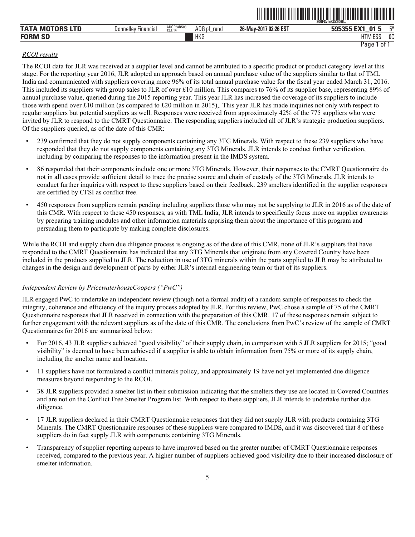|                                            |                                      |                       |                |                            | 200FSvf=KSZ306IL.                                |          |
|--------------------------------------------|--------------------------------------|-----------------------|----------------|----------------------------|--------------------------------------------------|----------|
| .<br><b>TATA</b><br>TNRS<br><b>M</b><br>ᄔᄔ | <b>Donnelley</b><br><b>Hinancial</b> | ADGP64RS03<br>12.1.14 | ADG pt<br>rend | / 02:26 EST<br>26-May-2017 | $\mathbf{0}$ 1<br>505355<br>$-111$<br>- 11<br>__ | $ -$     |
| <b>FORM</b><br>$\sim$<br>ЮL                |                                      |                       | <b>HKG</b>     |                            | $F^{\alpha}$<br>HТ<br>HIM ESS                    | nn<br>UU |

ˆ200F\$vf=K\$Z306lL,Š **200F\$vf=K\$Z306lL,**

# *RCOI results*

The RCOI data for JLR was received at a supplier level and cannot be attributed to a specific product or product category level at this stage. For the reporting year 2016, JLR adopted an approach based on annual purchase value of the suppliers similar to that of TML India and communicated with suppliers covering more 96% of its total annual purchase value for the fiscal year ended March 31, 2016. This included its suppliers with group sales to JLR of over £10 million. This compares to 76% of its supplier base, representing 89% of annual purchase value, queried during the 2015 reporting year. This year JLR has increased the coverage of its suppliers to include those with spend over £10 million (as compared to £20 million in 2015),. This year JLR has made inquiries not only with respect to regular suppliers but potential suppliers as well. Responses were received from approximately 42% of the 775 suppliers who were invited by JLR to respond to the CMRT Questionnaire. The responding suppliers included all of JLR's strategic production suppliers. Of the suppliers queried, as of the date of this CMR:

- 239 confirmed that they do not supply components containing any 3TG Minerals. With respect to these 239 suppliers who have responded that they do not supply components containing any 3TG Minerals, JLR intends to conduct further verification, including by comparing the responses to the information present in the IMDS system.
- 86 responded that their components include one or more 3TG Minerals. However, their responses to the CMRT Questionnaire do not in all cases provide sufficient detail to trace the precise source and chain of custody of the 3TG Minerals. JLR intends to conduct further inquiries with respect to these suppliers based on their feedback. 239 smelters identified in the supplier responses are certified by CFSI as conflict free.
- 450 responses from suppliers remain pending including suppliers those who may not be supplying to JLR in 2016 as of the date of this CMR. With respect to these 450 responses, as with TML India, JLR intends to specifically focus more on supplier awareness by preparing training modules and other information materials apprising them about the importance of this program and persuading them to participate by making complete disclosures.

While the RCOI and supply chain due diligence process is ongoing as of the date of this CMR, none of JLR's suppliers that have responded to the CMRT Questionnaire has indicated that any 3TG Minerals that originate from any Covered Country have been included in the products supplied to JLR. The reduction in use of 3TG minerals within the parts supplied to JLR may be attributed to changes in the design and development of parts by either JLR's internal engineering team or that of its suppliers.

# *Independent Review by PricewaterhouseCoopers ("PwC")*

JLR engaged PwC to undertake an independent review (though not a formal audit) of a random sample of responses to check the integrity, coherence and efficiency of the inquiry process adopted by JLR. For this review, PwC chose a sample of 75 of the CMRT Questionnaire responses that JLR received in connection with the preparation of this CMR. 17 of these responses remain subject to further engagement with the relevant suppliers as of the date of this CMR. The conclusions from PwC's review of the sample of CMRT Questionnaires for 2016 are summarized below:

- For 2016, 43 JLR suppliers achieved "good visibility" of their supply chain, in comparison with 5 JLR suppliers for 2015; "good visibility" is deemed to have been achieved if a supplier is able to obtain information from 75% or more of its supply chain, including the smelter name and location.
- 11 suppliers have not formulated a conflict minerals policy, and approximately 19 have not yet implemented due diligence measures beyond responding to the RCOI.
- 38 JLR suppliers provided a smelter list in their submission indicating that the smelters they use are located in Covered Countries and are not on the Conflict Free Smelter Program list. With respect to these suppliers, JLR intends to undertake further due diligence.
- 17 JLR suppliers declared in their CMRT Questionnaire responses that they did not supply JLR with products containing 3TG Minerals. The CMRT Questionnaire responses of these suppliers were compared to IMDS, and it was discovered that 8 of these suppliers do in fact supply JLR with components containing 3TG Minerals.
- Transparency of supplier reporting appears to have improved based on the greater number of CMRT Questionnaire responses received, compared to the previous year. A higher number of suppliers achieved good visibility due to their increased disclosure of smelter information.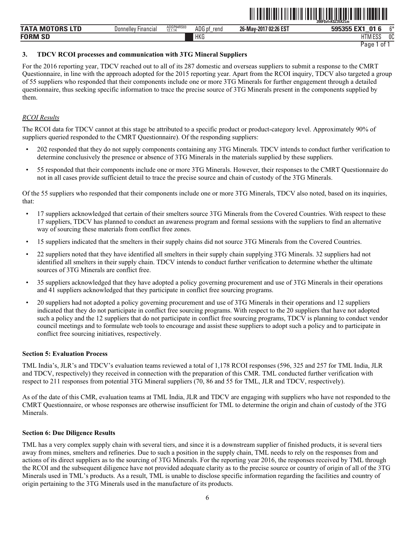|                      |                                     |                                |                |                            | ZUUFSVI=NSZJ3AZLIII              |               |
|----------------------|-------------------------------------|--------------------------------|----------------|----------------------------|----------------------------------|---------------|
| <b>TATA MOTORS L</b> | <b>Donnelley</b><br><b>Financia</b> | ADGP64RS03<br>10111<br>12.1.14 | ADG pf<br>rend | / 02:26 EST<br>26-May-2017 | <b>01</b><br>__                  | $\sim$        |
| <b>FORM SD</b>       |                                     |                                | <b>HKG</b>     |                            | <b>LITRA FOO</b><br>1 ו ו<br>∟ບປ | $\sim$<br>็บเ |

ˆ200F\$vf=K\$Z35XZLmŠ **200F\$vf=K\$Z35XZLm** 

# **3. TDCV RCOI processes and communication with 3TG Mineral Suppliers**

For the 2016 reporting year, TDCV reached out to all of its 287 domestic and overseas suppliers to submit a response to the CMRT Questionnaire, in line with the approach adopted for the 2015 reporting year. Apart from the RCOI inquiry, TDCV also targeted a group of 55 suppliers who responded that their components include one or more 3TG Minerals for further engagement through a detailed questionnaire, thus seeking specific information to trace the precise source of 3TG Minerals present in the components supplied by them.

# *RCOI Results*

The RCOI data for TDCV cannot at this stage be attributed to a specific product or product-category level. Approximately 90% of suppliers queried responded to the CMRT Questionnaire). Of the responding suppliers:

- 202 responded that they do not supply components containing any 3TG Minerals. TDCV intends to conduct further verification to determine conclusively the presence or absence of 3TG Minerals in the materials supplied by these suppliers.
- 55 responded that their components include one or more 3TG Minerals. However, their responses to the CMRT Questionnaire do not in all cases provide sufficient detail to trace the precise source and chain of custody of the 3TG Minerals.

Of the 55 suppliers who responded that their components include one or more 3TG Minerals, TDCV also noted, based on its inquiries, that:

- 17 suppliers acknowledged that certain of their smelters source 3TG Minerals from the Covered Countries. With respect to these 17 suppliers, TDCV has planned to conduct an awareness program and formal sessions with the suppliers to find an alternative way of sourcing these materials from conflict free zones.
- 15 suppliers indicated that the smelters in their supply chains did not source 3TG Minerals from the Covered Countries.
- 22 suppliers noted that they have identified all smelters in their supply chain supplying 3TG Minerals. 32 suppliers had not identified all smelters in their supply chain. TDCV intends to conduct further verification to determine whether the ultimate sources of 3TG Minerals are conflict free.
- 35 suppliers acknowledged that they have adopted a policy governing procurement and use of 3TG Minerals in their operations and 41 suppliers acknowledged that they participate in conflict free sourcing programs.
- 20 suppliers had not adopted a policy governing procurement and use of 3TG Minerals in their operations and 12 suppliers indicated that they do not participate in conflict free sourcing programs. With respect to the 20 suppliers that have not adopted such a policy and the 12 suppliers that do not participate in conflict free sourcing programs, TDCV is planning to conduct vendor council meetings and to formulate web tools to encourage and assist these suppliers to adopt such a policy and to participate in conflict free sourcing initiatives, respectively.

# **Section 5: Evaluation Process**

TML India's, JLR's and TDCV's evaluation teams reviewed a total of 1,178 RCOI responses (596, 325 and 257 for TML India, JLR and TDCV, respectively) they received in connection with the preparation of this CMR. TML conducted further verification with respect to 211 responses from potential 3TG Mineral suppliers (70, 86 and 55 for TML, JLR and TDCV, respectively).

As of the date of this CMR, evaluation teams at TML India, JLR and TDCV are engaging with suppliers who have not responded to the CMRT Questionnaire, or whose responses are otherwise insufficient for TML to determine the origin and chain of custody of the 3TG Minerals.

#### **Section 6: Due Diligence Results**

TML has a very complex supply chain with several tiers, and since it is a downstream supplier of finished products, it is several tiers away from mines, smelters and refineries. Due to such a position in the supply chain, TML needs to rely on the responses from and actions of its direct suppliers as to the sourcing of 3TG Minerals. For the reporting year 2016, the responses received by TML through the RCOI and the subsequent diligence have not provided adequate clarity as to the precise source or country of origin of all of the 3TG Minerals used in TML's products. As a result, TML is unable to disclose specific information regarding the facilities and country of origin pertaining to the 3TG Minerals used in the manufacture of its products.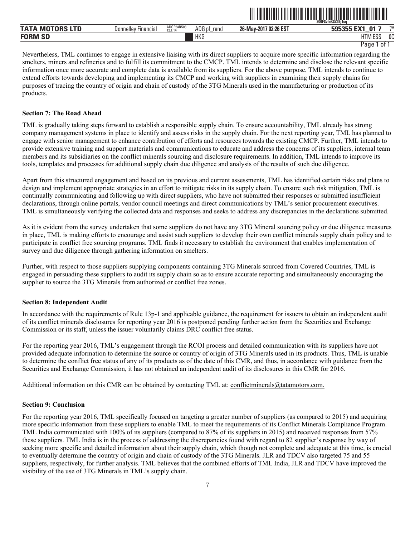|                 |                     |                       |                |                       | .<br>,,,,,,,,,,<br>200FSvf=KSZ39i1so |      |
|-----------------|---------------------|-----------------------|----------------|-----------------------|--------------------------------------|------|
| TATA MOTORS LTD | Donnelley Financial | ADGP64RS03<br>12.1.14 | ADG pf<br>rend | 26-May-2017 02:26 EST | 595355 EX1<br>01                     | $7*$ |
| <b>FORM SD</b>  |                     |                       | <b>HKG</b>     |                       | HTM ESS                              | 0C   |

ˆ200F\$vf=K\$Z39j1sqŠ **200F\$vf=K\$Z39j1sq** 

Nevertheless, TML continues to engage in extensive liaising with its direct suppliers to acquire more specific information regarding the smelters, miners and refineries and to fulfill its commitment to the CMCP. TML intends to determine and disclose the relevant specific information once more accurate and complete data is available from its suppliers. For the above purpose, TML intends to continue to extend efforts towards developing and implementing its CMCP and working with suppliers in examining their supply chains for purposes of tracing the country of origin and chain of custody of the 3TG Minerals used in the manufacturing or production of its products.

#### **Section 7: The Road Ahead**

TML is gradually taking steps forward to establish a responsible supply chain. To ensure accountability, TML already has strong company management systems in place to identify and assess risks in the supply chain. For the next reporting year, TML has planned to engage with senior management to enhance contribution of efforts and resources towards the existing CMCP. Further, TML intends to provide extensive training and support materials and communications to educate and address the concerns of its suppliers, internal team members and its subsidiaries on the conflict minerals sourcing and disclosure requirements. In addition, TML intends to improve its tools, templates and processes for additional supply chain due diligence and analysis of the results of such due diligence.

Apart from this structured engagement and based on its previous and current assessments, TML has identified certain risks and plans to design and implement appropriate strategies in an effort to mitigate risks in its supply chain. To ensure such risk mitigation, TML is continually communicating and following up with direct suppliers, who have not submitted their responses or submitted insufficient declarations, through online portals, vendor council meetings and direct communications by TML's senior procurement executives. TML is simultaneously verifying the collected data and responses and seeks to address any discrepancies in the declarations submitted.

As it is evident from the survey undertaken that some suppliers do not have any 3TG Mineral sourcing policy or due diligence measures in place, TML is making efforts to encourage and assist such suppliers to develop their own conflict minerals supply chain policy and to participate in conflict free sourcing programs. TML finds it necessary to establish the environment that enables implementation of survey and due diligence through gathering information on smelters.

Further, with respect to those suppliers supplying components containing 3TG Minerals sourced from Covered Countries, TML is engaged in persuading these suppliers to audit its supply chain so as to ensure accurate reporting and simultaneously encouraging the supplier to source the 3TG Minerals from authorized or conflict free zones.

#### **Section 8: Independent Audit**

In accordance with the requirements of Rule 13p-1 and applicable guidance, the requirement for issuers to obtain an independent audit of its conflict minerals disclosures for reporting year 2016 is postponed pending further action from the Securities and Exchange Commission or its staff, unless the issuer voluntarily claims DRC conflict free status.

For the reporting year 2016, TML's engagement through the RCOI process and detailed communication with its suppliers have not provided adequate information to determine the source or country of origin of 3TG Minerals used in its products. Thus, TML is unable to determine the conflict free status of any of its products as of the date of this CMR, and thus, in accordance with guidance from the Securities and Exchange Commission, it has not obtained an independent audit of its disclosures in this CMR for 2016.

Additional information on this CMR can be obtained by contacting TML at: conflictminerals@tatamotors.com.

#### **Section 9: Conclusion**

For the reporting year 2016, TML specifically focused on targeting a greater number of suppliers (as compared to 2015) and acquiring more specific information from these suppliers to enable TML to meet the requirements of its Conflict Minerals Compliance Program. TML India communicated with 100% of its suppliers (compared to 87% of its suppliers in 2015) and received responses from 57% these suppliers. TML India is in the process of addressing the discrepancies found with regard to 82 supplier's response by way of seeking more specific and detailed information about their supply chain, which though not complete and adequate at this time, is crucial to eventually determine the country of origin and chain of custody of the 3TG Minerals. JLR and TDCV also targeted 75 and 55 suppliers, respectively, for further analysis. TML believes that the combined efforts of TML India, JLR and TDCV have improved the visibility of the use of 3TG Minerals in TML's supply chain.